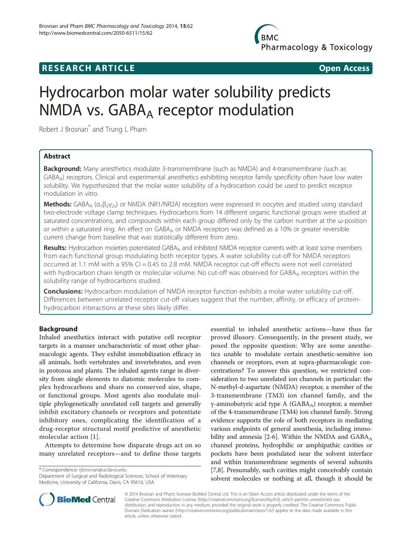## **RESEARCH ARTICLE Example 2014 CONSIDERING CONSIDERING CONSIDERING CONSIDERING CONSIDERING CONSIDERING CONSIDERING CONSIDERING CONSIDERING CONSIDERING CONSIDERING CONSIDERING CONSIDERING CONSIDERING CONSIDERING CONSIDE**

# Hydrocarbon molar water solubility predicts NMDA vs. GABA<sub>A</sub> receptor modulation

Robert J Brosnan<sup>\*</sup> and Trung L Pham

## Abstract

Background: Many anesthetics modulate 3-transmembrane (such as NMDA) and 4-transmembrane (such as GABAA) receptors. Clinical and experimental anesthetics exhibiting receptor family specificity often have low water solubility. We hypothesized that the molar water solubility of a hydrocarbon could be used to predict receptor modulation in vitro.

**Methods:** GABA<sub>A</sub> ( $\alpha_1\beta_2\gamma_2$ ) or NMDA (NR1/NR2A) receptors were expressed in oocytes and studied using standard two-electrode voltage clamp techniques. Hydrocarbons from 14 different organic functional groups were studied at saturated concentrations, and compounds within each group differed only by the carbon number at the ω-position or within a saturated ring. An effect on GABA<sub>A</sub> or NMDA receptors was defined as a 10% or greater reversible current change from baseline that was statistically different from zero.

Results: Hydrocarbon moieties potentiated GABA<sub>A</sub> and inhibited NMDA receptor currents with at least some members from each functional group modulating both receptor types. A water solubility cut-off for NMDA receptors occurred at 1.1 mM with a 95% CI = 0.45 to 2.8 mM. NMDA receptor cut-off effects were not well correlated with hydrocarbon chain length or molecular volume. No cut-off was observed for GABAA receptors within the solubility range of hydrocarbons studied.

**Conclusions:** Hydrocarbon modulation of NMDA receptor function exhibits a molar water solubility cut-off. Differences between unrelated receptor cut-off values suggest that the number, affinity, or efficacy of proteinhydrocarbon interactions at these sites likely differ.

## Background

Inhaled anesthetics interact with putative cell receptor targets in a manner uncharacteristic of most other pharmacologic agents. They exhibit immobilization efficacy in all animals, both vertebrates and invertebrates, and even in protozoa and plants. The inhaled agents range in diversity from single elements to diatomic molecules to complex hydrocarbons and share no conserved size, shape, or functional groups. Most agents also modulate multiple phylogenetically unrelated cell targets and generally inhibit excitatory channels or receptors and potentiate inhibitory ones, complicating the identification of a drug-receptor structural motif predictive of anesthetic molecular action [[1](#page-11-0)].

Attempts to determine how disparate drugs act on so many unrelated receptors—and to define those targets

\* Correspondence: [rjbrosnan@ucdavis.edu](mailto:rjbrosnan@ucdavis.edu)

Department of Surgical and Radiological Sciences, School of Veterinary Medicine, University of California, Davis, CA 95616, USA





© 2014 Brosnan and Pham; licensee BioMed Central Ltd. This is an Open Access article distributed under the terms of the Creative Commons Attribution License (<http://creativecommons.org/licenses/by/4.0>), which permits unrestricted use, distribution, and reproduction in any medium, provided the original work is properly credited. The Creative Commons Public Domain Dedication waiver [\(http://creativecommons.org/publicdomain/zero/1.0/\)](http://creativecommons.org/publicdomain/zero/1.0/) applies to the data made available in this article, unless otherwise stated.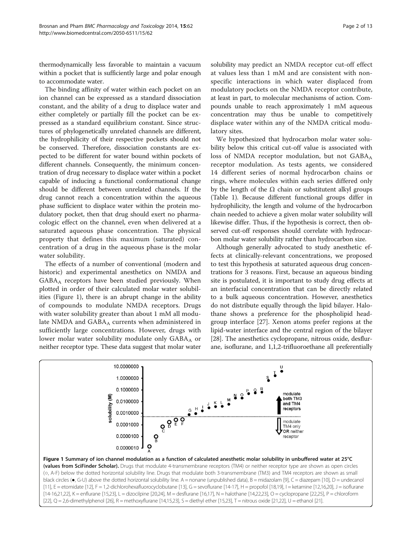thermodynamically less favorable to maintain a vacuum within a pocket that is sufficiently large and polar enough to accommodate water.

The binding affinity of water within each pocket on an ion channel can be expressed as a standard dissociation constant, and the ability of a drug to displace water and either completely or partially fill the pocket can be expressed as a standard equilibrium constant. Since structures of phylogenetically unrelated channels are different, the hydrophilicity of their respective pockets should not be conserved. Therefore, dissociation constants are expected to be different for water bound within pockets of different channels. Consequently, the minimum concentration of drug necessary to displace water within a pocket capable of inducing a functional conformational change should be different between unrelated channels. If the drug cannot reach a concentration within the aqueous phase sufficient to displace water within the protein modulatory pocket, then that drug should exert no pharmacologic effect on the channel, even when delivered at a saturated aqueous phase concentration. The physical property that defines this maximum (saturated) concentration of a drug in the aqueous phase is the molar water solubility.

The effects of a number of conventional (modern and historic) and experimental anesthetics on NMDA and  $GABA_A$  receptors have been studied previously. When plotted in order of their calculated molar water solubilities (Figure 1), there is an abrupt change in the ability of compounds to modulate NMDA receptors. Drugs with water solubility greater than about 1 mM all modulate NMDA and  $GABA_A$  currents when administered in sufficiently large concentrations. However, drugs with lower molar water solubility modulate only  $GABA_A$  or neither receptor type. These data suggest that molar water

solubility may predict an NMDA receptor cut-off effect at values less than 1 mM and are consistent with nonspecific interactions in which water displaced from modulatory pockets on the NMDA receptor contribute, at least in part, to molecular mechanisms of action. Compounds unable to reach approximately 1 mM aqueous concentration may thus be unable to competitively displace water within any of the NMDA critical modulatory sites.

We hypothesized that hydrocarbon molar water solubility below this critical cut-off value is associated with loss of NMDA receptor modulation, but not  $GABA_A$ receptor modulation. As tests agents, we considered 14 different series of normal hydrocarbon chains or rings, where molecules within each series differed only by the length of the  $Ω$  chain or substitutent alkyl groups (Table [1\)](#page-2-0). Because different functional groups differ in hydrophilicity, the length and volume of the hydrocarbon chain needed to achieve a given molar water solubility will likewise differ. Thus, if the hypothesis is correct, then observed cut-off responses should correlate with hydrocarbon molar water solubility rather than hydrocarbon size.

Although generally advocated to study anesthetic effects at clinically-relevant concentrations, we proposed to test this hypothesis at saturated aqueous drug concentrations for 3 reasons. First, because an aqueous binding site is postulated, it is important to study drug effects at an interfacial concentration that can be directly related to a bulk aqueous concentration. However, anesthetics do not distribute equally through the lipid bilayer. Halothane shows a preference for the phospholipid headgroup interface [[27\]](#page-11-0). Xenon atoms prefer regions at the lipid-water interface and the central region of the bilayer [[28](#page-11-0)]. The anesthetics cyclopropane, nitrous oxide, desflurane, isoflurane, and 1,1,2-trifluoroethane all preferentially

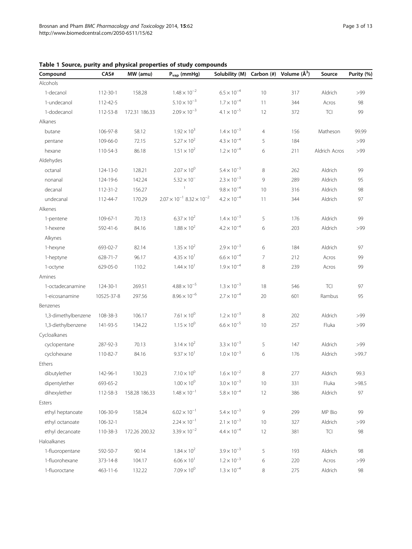| Compound            | CAS#           | MW (amu)      | $P_{vap}$ (mmHg)                            | Solubility (M)       |                | Carbon $(\#)$ Volume $(\AA^3)$ | Source        | Purity (%) |
|---------------------|----------------|---------------|---------------------------------------------|----------------------|----------------|--------------------------------|---------------|------------|
| Alcohols            |                |               |                                             |                      |                |                                |               |            |
| 1-decanol           | 112-30-1       | 158.28        | $1.48 \times 10^{-2}$                       | $6.5 \times 10^{-4}$ | 10             | 317                            | Aldrich       | >99        |
| 1-undecanol         | 112-42-5       |               | $5.10 \times 10^{-3}$                       | $1.7 \times 10^{-4}$ | 11             | 344                            | Acros         | 98         |
| 1-dodecanol         | 112-53-8       | 172.31 186.33 | $2.09 \times 10^{-3}$                       | $4.1 \times 10^{-5}$ | 12             | 372                            | TCI           | 99         |
| Alkanes             |                |               |                                             |                      |                |                                |               |            |
| butane              | 106-97-8       | 58.12         | $1.92 \times 10^{3}$                        | $1.4 \times 10^{-3}$ | $\overline{4}$ | 156                            | Matheson      | 99.99      |
| pentane             | 109-66-0       | 72.15         | $5.27 \times 10^{2}$                        | $4.3 \times 10^{-4}$ | 5              | 184                            |               | >99        |
| hexane              | 110-54-3       | 86.18         | $1.51 \times 10^{2}$                        | $1.2 \times 10^{-4}$ | 6              | 211                            | Aldrich Acros | >99        |
| Aldehydes           |                |               |                                             |                      |                |                                |               |            |
| octanal             | 124-13-0       | 128.21        | $2.07 \times 10^{0}$                        | $5.4 \times 10^{-3}$ | 8              | 262                            | Aldrich       | 99         |
| nonanal             | 124-19-6       | 142.24        | $5.32 \times 10^{-7}$                       | $2.3 \times 10^{-3}$ | 9              | 289                            | Aldrich       | 95         |
| decanal             | $112 - 31 - 2$ | 156.27        | $\mathbf{1}$                                | $9.8 \times 10^{-4}$ | 10             | 316                            | Aldrich       | 98         |
| undecanal           | 112-44-7       | 170.29        | $2.07 \times 10^{-1}$ 8.32 $\times 10^{-2}$ | $4.2 \times 10^{-4}$ | 11             | 344                            | Aldrich       | 97         |
| Alkenes             |                |               |                                             |                      |                |                                |               |            |
| 1-pentene           | 109-67-1       | 70.13         | $6.37 \times 10^{2}$                        | $1.4 \times 10^{-3}$ | 5              | 176                            | Aldrich       | 99         |
| 1-hexene            | 592-41-6       | 84.16         | $1.88 \times 10^{2}$                        | $4.2 \times 10^{-4}$ | 6              | 203                            | Aldrich       | >99        |
| Alkynes             |                |               |                                             |                      |                |                                |               |            |
| 1-hexyne            | 693-02-7       | 82.14         | $1.35 \times 10^{2}$                        | $2.9 \times 10^{-3}$ | 6              | 184                            | Aldrich       | 97         |
| 1-heptyne           | 628-71-7       | 96.17         | $4.35 \times 10^{1}$                        | $6.6 \times 10^{-4}$ | 7              | 212                            | Acros         | 99         |
| 1-octyne            | 629-05-0       | 110.2         | $1.44 \times 10^{1}$                        | $1.9 \times 10^{-4}$ | 8              | 239                            | Acros         | 99         |
| Amines              |                |               |                                             |                      |                |                                |               |            |
| 1-octadecanamine    | 124-30-1       | 269.51        | $4.88 \times 10^{-5}$                       | $1.3 \times 10^{-3}$ | 18             | 546                            | <b>TCI</b>    | 97         |
| 1-eicosanamine      | 10525-37-8     | 297.56        | $8.96 \times 10^{-6}$                       | $2.7 \times 10^{-4}$ | 20             | 601                            | Rambus        | 95         |
| Benzenes            |                |               |                                             |                      |                |                                |               |            |
| 1,3-dimethylbenzene | 108-38-3       | 106.17        | $7.61 \times 10^{0}$                        | $1.2 \times 10^{-3}$ | 8              | 202                            | Aldrich       | >99        |
| 1,3-diethylbenzene  | 141-93-5       | 134.22        | $1.15 \times 10^{0}$                        | $6.6 \times 10^{-5}$ | 10             | 257                            | Fluka         | >99        |
| Cycloalkanes        |                |               |                                             |                      |                |                                |               |            |
| cyclopentane        | 287-92-3       | 70.13         | $3.14 \times 10^{2}$                        | $3.3 \times 10^{-3}$ | 5              | 147                            | Aldrich       | >99        |
| cyclohexane         | 110-82-7       | 84.16         | $9.37 \times 10^{1}$                        | $1.0 \times 10^{-3}$ | 6              | 176                            | Aldrich       | >99.7      |
| Ethers              |                |               |                                             |                      |                |                                |               |            |
| dibutylether        | 142-96-1       | 130.23        | $7.10 \times 10^{0}$                        | $1.6 \times 10^{-2}$ | $\,8\,$        | 277                            | Aldrich       | 99.3       |
| dipentylether       | 693-65-2       |               | $1.00 \times 10^{0}$                        | $3.0 \times 10^{-3}$ | 10             | 331                            | Fluka         | >98.5      |
| dihexylether        | 112-58-3       | 158.28 186.33 | $1.48 \times 10^{-1}$                       | $5.8 \times 10^{-4}$ | 12             | 386                            | Aldrich       | 97         |
| Esters              |                |               |                                             |                      |                |                                |               |            |
| ethyl heptanoate    | 106-30-9       | 158.24        | $6.02 \times 10^{-1}$                       | $5.4 \times 10^{-3}$ | 9              | 299                            | MP Bio        | 99         |
| ethyl octanoate     | $106 - 32 - 1$ |               | $2.24 \times 10^{-1}$                       | $2.1 \times 10^{-3}$ | 10             | 327                            | Aldrich       | >99        |
| ethyl decanoate     | 110-38-3       | 172.26 200.32 | $3.39 \times 10^{-2}$                       | $4.4 \times 10^{-4}$ | 12             | 381                            | TCI           | 98         |
| Haloalkanes         |                |               |                                             |                      |                |                                |               |            |
| 1-fluoropentane     | 592-50-7       | 90.14         | $1.84 \times 10^{2}$                        | $3.9 \times 10^{-3}$ | 5              | 193                            | Aldrich       | 98         |
| 1-fluorohexane      | 373-14-8       | 104.17        | $6.06 \times 10^{1}$                        | $1.2 \times 10^{-3}$ | 6              | 220                            | Acros         | >99        |
| 1-fluoroctane       | 463-11-6       | 132.22        | $7.09 \times 10^{0}$                        | $1.3 \times 10^{-4}$ | 8              | 275                            | Aldrich       | 98         |

<span id="page-2-0"></span>Table 1 Source, purity and physical properties of study compounds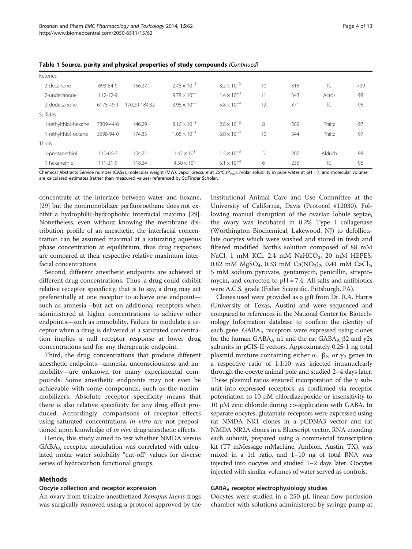| Page 4 of 13 |  |  |  |
|--------------|--|--|--|
|--------------|--|--|--|

| Ketones              |                |               |                       |                      |    |     |            |     |
|----------------------|----------------|---------------|-----------------------|----------------------|----|-----|------------|-----|
| 2-decanone           | 693-54-9       | 156.27        | $2.48 \times 10^{-1}$ | $3.2 \times 10^{-3}$ | 10 | 316 | <b>TCI</b> | >99 |
| 2-undecanone         | $112 - 12 - 9$ |               | $9.78 \times 10^{-2}$ | $1.4 \times 10^{-3}$ | 11 | 343 | Acros      | 98  |
| 2-dodecanone         | 6175-49-1      | 170.29 184.32 | $3.96 \times 10^{-2}$ | $5.8 \times 10^{-4}$ | 12 | 371 | <b>TCI</b> | 95  |
| Sulfides             |                |               |                       |                      |    |     |            |     |
| 1-(ethylthio)-hexane | 7309-44-6      | 146.29        | $8.16 \times 10^{-1}$ | $2.8 \times 10^{-3}$ | 8  | 289 | Pfaltz     | 97  |
| 1-(ethylthio)-octane | 3698-94-0      | 174.35        | $1.08 \times 10^{-1}$ | $5.0 \times 10^{-4}$ | 10 | 344 | Pfaltz     | 97  |
| Thiols               |                |               |                       |                      |    |     |            |     |
| 1-pentanethiol       | 110-66-7       | 104.21        | $1.42 \times 10^{1}$  | $1.5 \times 10^{-3}$ | 5  | 207 | Aldrich    | 98  |
| 1-hexanethiol        | $111 - 31 - 9$ | 118.24        | $4.50 \times 10^{0}$  | $5.1 \times 10^{-4}$ | 6  | 235 | <b>TCI</b> | 96  |

Table 1 Source, purity and physical properties of study compounds (Continued)

Chemical Abstracts Service number (CAS#), molecular weight (MW), vapor pressure at 25°C (P<sub>vap</sub>), molar solubility in pure water at pH = 7, and molecular volume are calculated estimates (rather than measured values) referenced by SciFinder Scholar.

concentrate at the interface between water and hexane, [[29](#page-11-0)] but the nonimmobilizer perfluoroethane does not exhibit a hydrophilic-hydrophobic interfacial maxima [[29](#page-11-0)]. Nonetheless, even without knowing the membrane distribution profile of an anesthetic, the interfacial concentration can be assumed maximal at a saturating aqueous phase concentration at equilibrium; thus drug responses are compared at their respective relative maximum interfacial concentrations.

Second, different anesthetic endpoints are achieved at different drug concentrations. Thus, a drug could exhibit relative receptor specificity; that is to say, a drug may act preferentially at one receptor to achieve one endpoint such as amnesia—but act on additional receptors when administered at higher concentrations to achieve other endpoints—such as immobility. Failure to modulate a receptor when a drug is delivered at a saturated concentration implies a null receptor response at lower drug concentrations and for any therapeutic endpoint.

Third, the drug concentrations that produce different anesthetic endpoints—amnesia, unconsciousness and immobility—are unknown for many experimental compounds. Some anesthetic endpoints may not even be achievable with some compounds, such as the nonimmobilizers. Absolute receptor specificity means that there is also relative specificity for any drug effect produced. Accordingly, comparisons of receptor effects using saturated concentrations *in vitro* are not prepositioned upon knowledge of in vivo drug anesthetic effects.

Hence, this study aimed to test whether NMDA versus GABAA receptor modulation was correlated with calculated molar water solubility "cut-off" values for diverse series of hydrocarbon functional groups.

## Methods

#### Oocyte collection and receptor expression

An ovary from tricaine-anesthetized Xenopus laevis frogs was surgically removed using a protocol approved by the

Institutional Animal Care and Use Committee at the University of California, Davis (Protocol #12030). Following manual disruption of the ovarian lobule septae, the ovary was incubated in 0.2% Type I collagenase (Worthington Biochemical, Lakewood, NJ) to defolliculate oocytes which were washed and stored in fresh and filtered modified Barth's solution composed of 88 mM NaCl, 1 mM KCl, 2.4 mM NaHCO $_3$ , 20 mM HEPES, 0.82 mM MgSO<sub>4</sub>, 0.33 mM Ca(NO<sub>3</sub>)<sub>2</sub>, 0.41 mM CaCl<sub>2</sub>, 5 mM sodium pyruvate, gentamycin, penicillin, streptomycin, and corrected to pH = 7.4. All salts and antibiotics were A.C.S. grade (Fisher Scientific, Pittsburgh, PA).

Clones used were provided as a gift from Dr. R.A. Harris (University of Texas, Austin) and were sequenced and compared to references in the National Center for Biotechnology Information database to confirm the identity of each gene. GABA<sub>A</sub> receptors were expressed using clones for the human GABA<sub>A</sub>  $α1$  and the rat GABA<sub>A</sub>  $β2$  and  $γ2s$ subunits in pCIS-II vectors. Approximately 0.25-1 ng total plasmid mixture containing either  $α_1$ ,  $β_2$ , or  $γ_2$  genes in a respective ratio of 1:1:10 was injected intranuclearly through the oocyte animal pole and studied 2–4 days later. These plasmid ratios ensured incorporation of the γ subunit into expressed receptors, as confirmed via receptor potentiation to 10 μM chlordiazepoxide or insensitivity to 10 μM zinc chloride during co-application with GABA. In separate oocytes, glutamate receptors were expressed using rat NMDA NR1 clones in a pCDNA3 vector and rat NMDA NR2A clones in a Bluescript vector. RNA encoding each subunit, prepared using a commercial transcription kit (T7 mMessage mMachine, Ambion, Austin, TX), was mixed in a 1:1 ratio, and 1–10 ng of total RNA was injected into oocytes and studied 1–2 days later. Oocytes injected with similar volumes of water served as controls.

#### $GABA_A$  receptor electrophysiology studies

Oocytes were studied in a 250 μL linear-flow perfusion chamber with solutions administered by syringe pump at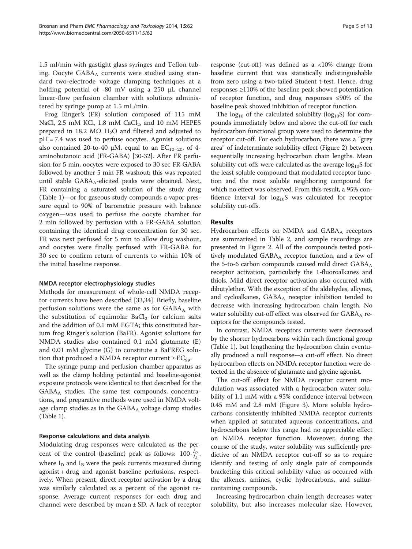1.5 ml/min with gastight glass syringes and Teflon tubing. Oocyte  $GABA_A$  currents were studied using standard two-electrode voltage clamping techniques at a holding potential of -80 mV using a 250 μL channel linear-flow perfusion chamber with solutions administered by syringe pump at 1.5 mL/min.

Frog Ringer's (FR) solution composed of 115 mM NaCl,  $2.5$  mM KCl,  $1.8$  mM CaCl<sub>2</sub>, and  $10$  mM HEPES prepared in 18.2 MΩ H<sub>2</sub>O and filtered and adjusted to pH = 7.4 was used to perfuse oocytes. Agonist solutions also contained 20-to-40  $\mu$ M, equal to an EC<sub>10-20</sub>, of 4aminobutanoic acid (FR-GABA) [[30](#page-11-0)-[32](#page-12-0)]. After FR perfusion for 5 min, oocytes were exposed to 30 sec FR-GABA followed by another 5 min FR washout; this was repeated until stable  $GABA_A$ -elicited peaks were obtained. Next, FR containing a saturated solution of the study drug (Table [1\)](#page-2-0)—or for gaseous study compounds a vapor pressure equal to 90% of barometric pressure with balance oxygen—was used to perfuse the oocyte chamber for 2 min followed by perfusion with a FR-GABA solution containing the identical drug concentration for 30 sec. FR was next perfused for 5 min to allow drug washout, and oocytes were finally perfused with FR-GABA for 30 sec to confirm return of currents to within 10% of the initial baseline response.

#### NMDA receptor electrophysiology studies

Methods for measurement of whole-cell NMDA receptor currents have been described [[33](#page-12-0),[34](#page-12-0)]. Briefly, baseline perfusion solutions were the same as for  $GABA_A$  with the substitution of equimolar  $BaCl<sub>2</sub>$  for calcium salts and the addition of 0.1 mM EGTA; this constituted barium frog Ringer's solution (BaFR). Agonist solutions for NMDA studies also contained 0.1 mM glutamate (E) and 0.01 mM glycine (G) to constitute a BaFREG solution that produced a NMDA receptor current  $\geq$  EC<sub>99</sub>.

The syringe pump and perfusion chamber apparatus as well as the clamp holding potential and baseline-agonist exposure protocols were identical to that described for the GABAA studies. The same test compounds, concentrations, and preparative methods were used in NMDA voltage clamp studies as in the  $GABA_A$  voltage clamp studies (Table [1](#page-2-0)).

## Response calculations and data analysis

Modulating drug responses were calculated as the percent of the control (baseline) peak as follows:  $100 \cdot \frac{I_D}{I_B}$ , where  $I_D$  and  $I_B$  were the peak currents measured during agonist + drug and agonist baseline perfusions, respectively. When present, direct receptor activation by a drug was similarly calculated as a percent of the agonist response. Average current responses for each drug and channel were described by mean ± SD. A lack of receptor response (cut-off) was defined as a  $<10\%$  change from baseline current that was statistically indistinguishable from zero using a two-tailed Student t-test. Hence, drug responses ≥110% of the baseline peak showed potentiation of receptor function, and drug responses ≤90% of the baseline peak showed inhibition of receptor function.

The  $log_{10}$  of the calculated solubility ( $log_{10}S$ ) for compounds immediately below and above the cut-off for each hydrocarbon functional group were used to determine the receptor cut-off. For each hydrocarbon, there was a "grey area" of indeterminate solubility effect (Figure [2](#page-5-0)) between sequentially increasing hydrocarbon chain lengths. Mean solubility cut-offs were calculated as the average  $log_{10}S$  for the least soluble compound that modulated receptor function and the most soluble neighboring compound for which no effect was observed. From this result, a 95% confidence interval for  $log_{10}S$  was calculated for receptor solubility cut-offs.

## Results

Hydrocarbon effects on NMDA and  $GABA_A$  receptors are summarized in Table [2,](#page-6-0) and sample recordings are presented in Figure [2](#page-5-0). All of the compounds tested positively modulated  $GABA_A$  receptor function, and a few of the 5-to-6 carbon compounds caused mild direct  $GABA_A$ receptor activation, particularly the 1-fluoroalkanes and thiols. Mild direct receptor activation also occurred with dibutylether. With the exception of the aldehydes, alkynes, and cycloalkanes,  $GABA_A$  receptor inhibition tended to decrease with increasing hydrocarbon chain length. No water solubility cut-off effect was observed for  $GABA_A$  receptors for the compounds tested.

In contrast, NMDA receptors currents were decreased by the shorter hydrocarbons within each functional group (Table [1\)](#page-2-0), but lengthening the hydrocarbon chain eventually produced a null response—a cut-off effect. No direct hydrocarbon effects on NMDA receptor function were detected in the absence of glutamate and glycine agonist.

The cut-off effect for NMDA receptor current modulation was associated with a hydrocarbon water solubility of 1.1 mM with a 95% confidence interval between 0.45 mM and 2.8 mM (Figure [3](#page-7-0)). More soluble hydrocarbons consistently inhibited NMDA receptor currents when applied at saturated aqueous concentrations, and hydrocarbons below this range had no appreciable effect on NMDA receptor function. Moveover, during the course of the study, water solubility was sufficiently predictive of an NMDA receptor cut-off so as to require identify and testing of only single pair of compounds bracketing this critical solubility value, as occurred with the alkenes, amines, cyclic hydrocarbons, and sulfurcontaining compounds.

Increasing hydrocarbon chain length decreases water solubility, but also increases molecular size. However,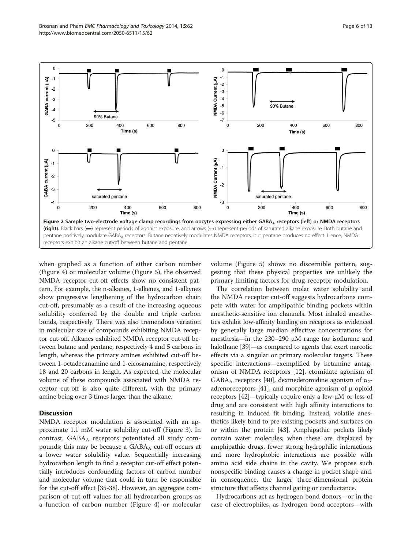<span id="page-5-0"></span>

when graphed as a function of either carbon number (Figure [4](#page-8-0)) or molecular volume (Figure [5\)](#page-8-0), the observed NMDA receptor cut-off effects show no consistent pattern. For example, the n-alkanes, 1-alkenes, and 1-alkynes show progressive lengthening of the hydrocarbon chain cut-off, presumably as a result of the increasing aqueous solubility conferred by the double and triple carbon bonds, respectively. There was also tremendous variation in molecular size of compounds exhibiting NMDA receptor cut-off. Alkanes exhibited NMDA receptor cut-off between butane and pentane, respectively 4 and 5 carbons in length, whereas the primary amines exhibited cut-off between 1-octadecanamine and 1-eicosanamine, respectively 18 and 20 carbons in length. As expected, the molecular volume of these compounds associated with NMDA receptor cut-off is also quite different, with the primary amine being over 3 times larger than the alkane.

## **Discussion**

NMDA receptor modulation is associated with an approximate 1.1 mM water solubility cut-off (Figure [3\)](#page-7-0). In contrast,  $GABA_A$  receptors potentiated all study compounds; this may be because a GABA<sub>A</sub> cut-off occurs at a lower water solubility value. Sequentially increasing hydrocarbon length to find a receptor cut-off effect potentially introduces confounding factors of carbon number and molecular volume that could in turn be responsible for the cut-off effect [\[35](#page-12-0)-[38](#page-12-0)]. However, an aggregate comparison of cut-off values for all hydrocarbon groups as a function of carbon number (Figure [4\)](#page-8-0) or molecular volume (Figure [5\)](#page-8-0) shows no discernible pattern, suggesting that these physical properties are unlikely the primary limiting factors for drug-receptor modulation.

The correlation between molar water solubility and the NMDA receptor cut-off suggests hydrocarbons compete with water for amphipathic binding pockets within anesthetic-sensitive ion channels. Most inhaled anesthetics exhibit low-affinity binding on receptors as evidenced by generally large median effective concentrations for anesthesia—in the 230–290 μM range for isoflurane and halothane [\[39\]](#page-12-0)—as compared to agents that exert narcotic effects via a singular or primary molecular targets. These specific interactions—exemplified by ketamine antagonism of NMDA receptors [[12](#page-11-0)], etomidate agonism of GABA<sub>A</sub> receptors [[40](#page-12-0)], dexmedetomidine agonism of  $\alpha_2$ -adrenoreceptors [\[41\]](#page-12-0), and morphine agonism of  $μ$ -opioid receptors [\[42\]](#page-12-0)—typically require only a few μM or less of drug and are consistent with high affinity interactions to resulting in induced fit binding. Instead, volatile anesthetics likely bind to pre-existing pockets and surfaces on or within the protein [\[43\]](#page-12-0). Amphipathic pockets likely contain water molecules; when these are displaced by amphipathic drugs, fewer strong hydrophilic interactions and more hydrophobic interactions are possible with amino acid side chains in the cavity. We propose such nonspecific binding causes a change in pocket shape and, in consequence, the larger three-dimensional protein structure that affects channel gating or conductance.

Hydrocarbons act as hydrogen bond donors—or in the case of electrophiles, as hydrogen bond acceptors—with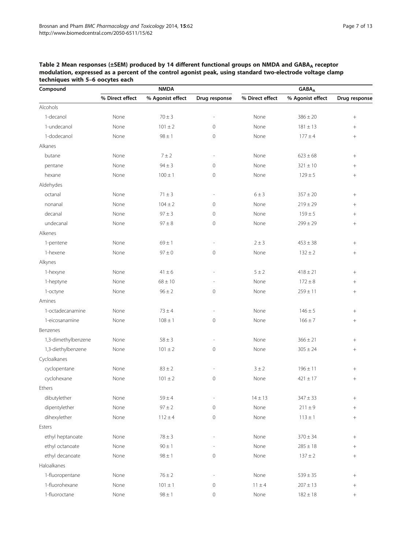| Compound            |                 | <b>NMDA</b>      |                          | $GABA_A$        |                  |                 |  |
|---------------------|-----------------|------------------|--------------------------|-----------------|------------------|-----------------|--|
|                     | % Direct effect | % Agonist effect | Drug response            | % Direct effect | % Agonist effect | Drug response   |  |
| Alcohols            |                 |                  |                          |                 |                  |                 |  |
| 1-decanol           | None            | $70 \pm 3$       | ÷,                       | None            | $386 \pm 20$     | $+$             |  |
| 1-undecanol         | None            | $101 \pm 2$      | $\mathbf{0}$             | None            | $181 \pm 13$     | $^{+}$          |  |
| 1-dodecanol         | None            | $98 \pm 1$       | 0                        | None            | $177 \pm 4$      | $^{+}$          |  |
| Alkanes             |                 |                  |                          |                 |                  |                 |  |
| butane              | None            | 7 ± 2            | ÷,                       | None            | $623 \pm 68$     | $\! + \!\!\!\!$ |  |
| pentane             | None            | $94 \pm 3$       | $\mathbf{0}$             | None            | $321 \pm 10$     | $^{+}$          |  |
| hexane              | None            | $100 \pm 1$      | $\mathbf 0$              | None            | $129 \pm 5$      | $^{+}$          |  |
| Aldehydes           |                 |                  |                          |                 |                  |                 |  |
| octanal             | None            | $71 \pm 3$       | $\overline{\phantom{a}}$ | $6 \pm 3$       | $357 \pm 20$     | $^{+}$          |  |
| nonanal             | None            | $104 \pm 2$      | 0                        | None            | $219 \pm 29$     | $^+$            |  |
| decanal             | None            | $97 \pm 3$       | $\mathbf{0}$             | None            | $159 \pm 5$      | $^{+}$          |  |
| undecanal           | None            | $97 \pm 8$       | $\mathbf 0$              | None            | $299 \pm 29$     | $^{+}$          |  |
| Alkenes             |                 |                  |                          |                 |                  |                 |  |
| 1-pentene           | None            | $69 \pm 1$       | $\overline{\phantom{a}}$ | $2 \pm 3$       | $453 \pm 38$     | $\! + \!\!\!\!$ |  |
| 1-hexene            | None            | $97 \pm 0$       | $\mathbf 0$              | None            | $132 \pm 2$      | $\! + \!\!\!\!$ |  |
| Alkynes             |                 |                  |                          |                 |                  |                 |  |
| 1-hexyne            | None            | $41 \pm 6$       |                          | $5 \pm 2$       | $418 \pm 21$     | $^{+}$          |  |
| 1-heptyne           | None            | $68 \pm 10$      |                          | None            | $172 \pm 8$      | $^{+}$          |  |
| 1-octyne            | None            | $96 \pm 2$       | 0                        | None            | $259 \pm 11$     | $^{+}$          |  |
| Amines              |                 |                  |                          |                 |                  |                 |  |
| 1-octadecanamine    | None            | $73 \pm 4$       | $\overline{a}$           | None            | $146 \pm 5$      | $^{+}$          |  |
| 1-eicosanamine      | None            | $108 \pm 1$      | $\mathbf 0$              | None            | $166 \pm 7$      | $+$             |  |
| Benzenes            |                 |                  |                          |                 |                  |                 |  |
| 1,3-dimethylbenzene | None            | $58 \pm 3$       | $\overline{\phantom{a}}$ | None            | $366 \pm 21$     | $\! + \!\!\!\!$ |  |
| 1,3-diethylbenzene  | None            | $101 \pm 2$      | $\mathbf 0$              | None            | $305 \pm 24$     | $\! + \!\!\!\!$ |  |
| Cycloalkanes        |                 |                  |                          |                 |                  |                 |  |
| cyclopentane        | None            | $83 \pm 2$       | $\overline{\phantom{a}}$ | 3 ± 2           | $196 \pm 11$     | $^{+}$          |  |
| cyclohexane         | None            | $101 \pm 2$      | 0                        | None            | $421 \pm 17$     | $^{+}$          |  |
| Ethers              |                 |                  |                          |                 |                  |                 |  |
| dibutylether        | None            | $59\pm4$         | $\overline{\phantom{a}}$ | $14 \pm 13$     | $347 \pm 33$     | $^+$            |  |
| dipentylether       | None            | $97\pm2$         | $\mathbf 0$              | None            | $211\pm9$        | $\! + \!$       |  |
| dihexylether        | None            | $112 \pm 4$      | $\mathbf 0$              | None            | $113 \pm 1$      | $\! + \!\!\!\!$ |  |
| Esters              |                 |                  |                          |                 |                  |                 |  |
| ethyl heptanoate    | None            | $78\pm3$         | ÷,                       | None            | $370 \pm 34$     | $\! + \!\!\!\!$ |  |
| ethyl octanoate     | None            | $90\pm1$         |                          | None            | $285\pm18$       | $\! + \!\!\!\!$ |  |
| ethyl decanoate     | None            | $98\pm1$         | 0                        | None            | $137 \pm 2$      | $^{+}$          |  |
| Haloalkanes         |                 |                  |                          |                 |                  |                 |  |
| 1-fluoropentane     | None            | $76\pm2$         |                          | None            | $539\pm35$       | $\! + \!\!\!\!$ |  |
| 1-fluorohexane      | None            | $101\pm1$        | 0                        | $11 \pm 4$      | $207 \pm 13$     | $\! + \!\!\!\!$ |  |
| 1-fluoroctane       | None            | $98\pm1$         | $\,0\,$                  | None            | $182\pm18$       | $^{+}$          |  |

<span id="page-6-0"></span>Table 2 Mean responses (±SEM) produced by 14 different functional groups on NMDA and GABA<sub>A</sub> receptor modulation, expressed as a percent of the control agonist peak, using standard two-electrode voltage clamp techniques with 5–6 oocytes each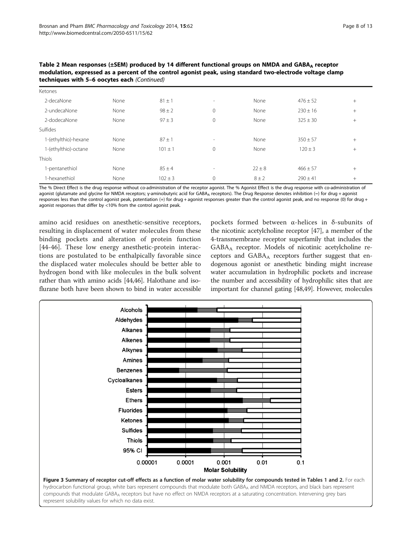<span id="page-7-0"></span>Table 2 Mean responses (±SEM) produced by 14 different functional groups on NMDA and GABA<sub>A</sub> receptor modulation, expressed as a percent of the control agonist peak, using standard two-electrode voltage clamp techniques with 5–6 oocytes each (Continued)

| Ketones              |      |             |                          |            |              |        |
|----------------------|------|-------------|--------------------------|------------|--------------|--------|
| 2-decaNone           | None | $81 \pm 1$  | $\sim$                   | None       | $476 \pm 52$ | $^{+}$ |
| 2-undecaNone         | None | $98 \pm 2$  | $\mathbf 0$              | None       | $230 \pm 16$ | $^{+}$ |
| 2-dodecaNone         | None | $97 \pm 3$  | $\mathbf{0}$             | None       | $325 \pm 30$ | $^{+}$ |
| Sulfides             |      |             |                          |            |              |        |
| 1-(ethylthio)-hexane | None | $87 \pm 1$  | $\sim$                   | None       | $350 \pm 57$ | $^{+}$ |
| 1-(ethylthio)-octane | None | $101 \pm 1$ | $\mathbf{0}$             | None       | $120 \pm 3$  | $^{+}$ |
| Thiols               |      |             |                          |            |              |        |
| -pentanethiol        | None | $85 \pm 4$  | $\overline{\phantom{a}}$ | $22 \pm 8$ | $466 \pm 57$ | $^{+}$ |
| 1-hexanethiol        | None | $102 \pm 3$ | $\mathbf 0$              | $8 \pm 2$  | $290 \pm 41$ | $^{+}$ |

The % Direct Effect is the drug response without co-administration of the receptor agonist. The % Agonist Effect is the drug response with co-administration of agonist (glutamate and glycine for NMDA receptors; γ-aminobutyric acid for GABA<sub>A</sub> receptors). The Drug Response denotes inhibition (-) for drug + agonist responses less than the control agonist peak, potentiation (+) for drug + agonist responses greater than the control agonist peak, and no response (0) for drug + agonist responses that differ by <10% from the control agonist peak.

amino acid residues on anesthetic-sensitive receptors, resulting in displacement of water molecules from these binding pockets and alteration of protein function [[44-46\]](#page-12-0). These low energy anesthetic-protein interactions are postulated to be enthalpically favorable since the displaced water molecules should be better able to hydrogen bond with like molecules in the bulk solvent rather than with amino acids [\[44,46\]](#page-12-0). Halothane and isoflurane both have been shown to bind in water accessible

pockets formed between α-helices in δ-subunits of the nicotinic acetylcholine receptor [\[47\]](#page-12-0), a member of the 4-transmembrane receptor superfamily that includes the GABAA receptor. Models of nicotinic acetylcholine receptors and  $GABA_A$  receptors further suggest that endogenous agonist or anesthetic binding might increase water accumulation in hydrophilic pockets and increase the number and accessibility of hydrophilic sites that are important for channel gating [\[48,49](#page-12-0)]. However, molecules

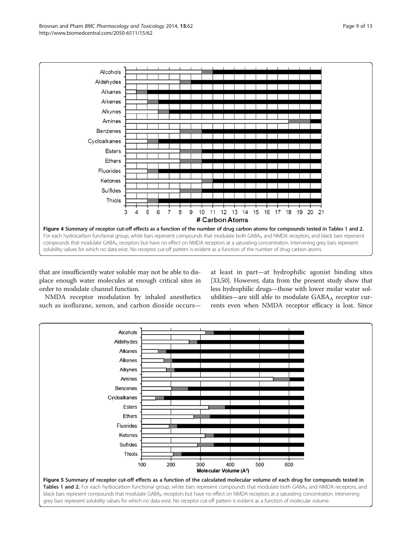<span id="page-8-0"></span>

that are insufficiently water soluble may not be able to displace enough water molecules at enough critical sites in order to modulate channel function.

at least in part—at hydrophilic agonist binding sites [[33](#page-12-0),[50](#page-12-0)]. However, data from the present study show that less hydrophilic drugs—those with lower molar water solubilities—are still able to modulate  $GABA_A$  receptor currents even when NMDA receptor efficacy is lost. Since

NMDA receptor modulation by inhaled anesthetics such as isoflurane, xenon, and carbon dioxide occurs—

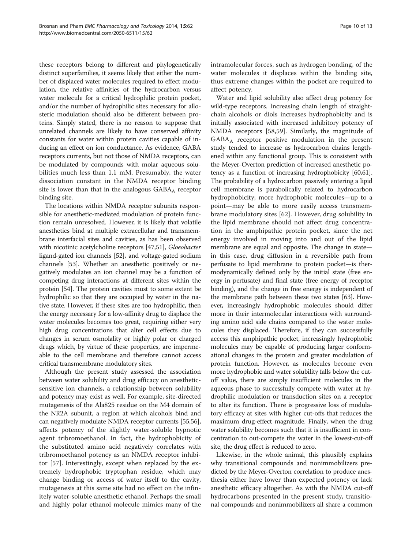these receptors belong to different and phylogenetically distinct superfamilies, it seems likely that either the number of displaced water molecules required to effect modulation, the relative affinities of the hydrocarbon versus water molecule for a critical hydrophilic protein pocket, and/or the number of hydrophilic sites necessary for allosteric modulation should also be different between proteins. Simply stated, there is no reason to suppose that unrelated channels are likely to have conserved affinity constants for water within protein cavities capable of inducing an effect on ion conductance. As evidence, GABA receptors currents, but not those of NMDA receptors, can be modulated by compounds with molar aqueous solubilities much less than 1.1 mM. Presumably, the water dissociation constant in the NMDA receptor binding site is lower than that in the analogous GABAA receptor binding site.

The locations within NMDA receptor subunits responsible for anesthetic-mediated modulation of protein function remain unresolved. However, it is likely that volatile anesthetics bind at multiple extracellular and transmembrane interfacial sites and cavities, as has been observed with nicotinic acetylcholine receptors [[47,51\]](#page-12-0), Gloeobacter ligand-gated ion channels [\[52](#page-12-0)], and voltage-gated sodium channels [\[53\]](#page-12-0). Whether an anesthetic positively or negatively modulates an ion channel may be a function of competing drug interactions at different sites within the protein [\[54\]](#page-12-0). The protein cavities must to some extent be hydrophilic so that they are occupied by water in the native state. However, if these sites are too hydrophilic, then the energy necessary for a low-affinity drug to displace the water molecules becomes too great, requiring either very high drug concentrations that alter cell effects due to changes in serum osmolality or highly polar or charged drugs which, by virtue of these properties, are impermeable to the cell membrane and therefore cannot access critical transmembrane modulatory sites.

Although the present study assessed the association between water solubility and drug efficacy on anestheticsensitive ion channels, a relationship between solubility and potency may exist as well. For example, site-directed mutagenesis of the Ala825 residue on the M4 domain of the NR2A subunit, a region at which alcohols bind and can negatively modulate NMDA receptor currents [\[55,56](#page-12-0)], affects potency of the slightly water-soluble hypnotic agent tribromoethanol. In fact, the hydrophobicity of the substituted amino acid negatively correlates with tribromoethanol potency as an NMDA receptor inhibitor [[57\]](#page-12-0). Interestingly, except when replaced by the extremely hydrophobic tryptophan residue, which may change binding or access of water itself to the cavity, mutagenesis at this same site had no effect on the infinitely water-soluble anesthetic ethanol. Perhaps the small and highly polar ethanol molecule mimics many of the intramolecular forces, such as hydrogen bonding, of the water molecules it displaces within the binding site, thus extreme changes within the pocket are required to affect potency.

Water and lipid solubility also affect drug potency for wild-type receptors. Increasing chain length of straightchain alcohols or diols increases hydrophobicity and is initially associated with increased inhibitory potency of NMDA receptors [\[58](#page-12-0),[59](#page-12-0)]. Similarly, the magnitude of GABAA receptor positive modulation in the present study tended to increase as hydrocarbon chains lengthened within any functional group. This is consistent with the Meyer-Overton prediction of increased anesthetic potency as a function of increasing hydrophobicity [\[60,61](#page-12-0)]. The probability of a hydrocarbon passively entering a lipid cell membrane is parabolically related to hydrocarbon hydrophobicity; more hydrophobic molecules—up to a point—may be able to more easily access transmembrane modulatory sites [[62\]](#page-12-0). However, drug solubility in the lipid membrane should not affect drug concentration in the amphipathic protein pocket, since the net energy involved in moving into and out of the lipid membrane are equal and opposite. The change in state in this case, drug diffusion in a reversible path from perfusate to lipid membrane to protein pocket—is thermodynamically defined only by the initial state (free energy in perfusate) and final state (free energy of receptor binding), and the change in free energy is independent of the membrane path between these two states [\[63](#page-12-0)]. However, increasingly hydrophobic molecules should differ more in their intermolecular interactions with surrounding amino acid side chains compared to the water molecules they displaced. Therefore, if they can successfully access this amphipathic pocket, increasingly hydrophobic molecules may be capable of producing larger conformational changes in the protein and greater modulation of protein function. However, as molecules become even more hydrophobic and water solubility falls below the cutoff value, there are simply insufficient molecules in the aqueous phase to successfully compete with water at hydrophilic modulation or transduction sites on a receptor to alter its function. There is progressive loss of modulatory efficacy at sites with higher cut-offs that reduces the maximum drug-effect magnitude. Finally, when the drug water solubility becomes such that it is insufficient in concentration to out-compete the water in the lowest-cut-off site, the drug effect is reduced to zero.

Likewise, in the whole animal, this plausibly explains why transitional compounds and nonimmobilizers predicted by the Meyer-Overton correlation to produce anesthesia either have lower than expected potency or lack anesthetic efficacy altogether. As with the NMDA cut-off hydrocarbons presented in the present study, transitional compounds and nonimmobilizers all share a common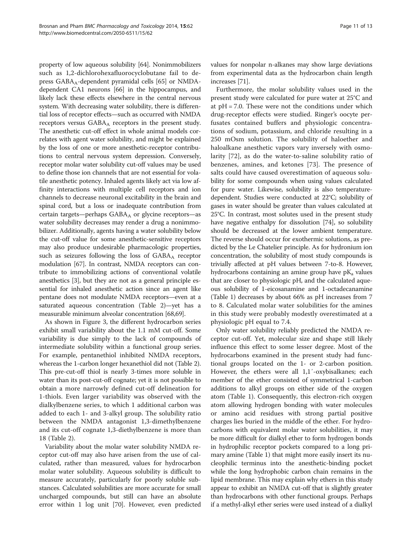property of low aqueous solubility [[64](#page-12-0)]. Nonimmobilizers such as 1,2-dichlorohexafluorocyclobutane fail to de-press GABA<sub>A</sub>-dependent pyramidal cells [\[65](#page-12-0)] or NMDAdependent CA1 neurons [\[66\]](#page-12-0) in the hippocampus, and likely lack these effects elsewhere in the central nervous system. With decreasing water solubility, there is differential loss of receptor effects—such as occurred with NMDA receptors versus GABAA receptors in the present study. The anesthetic cut-off effect in whole animal models correlates with agent water solubility, and might be explained by the loss of one or more anesthetic-receptor contributions to central nervous system depression. Conversely, receptor molar water solubility cut-off values may be used to define those ion channels that are not essential for volatile anesthetic potency. Inhaled agents likely act via low affinity interactions with multiple cell receptors and ion channels to decrease neuronal excitability in the brain and spinal cord, but a loss or inadequate contribution from certain targets—perhaps GABA<sub>A</sub> or glycine receptors—as water solubility decreases may render a drug a nonimmobilizer. Additionally, agents having a water solubility below the cut-off value for some anesthetic-sensitive receptors may also produce undesirable pharmacologic properties, such as seizures following the loss of  $GABA_A$  receptor modulation [[67](#page-12-0)]. In contrast, NMDA receptors can contribute to immobilizing actions of conventional volatile anesthetics [[3\]](#page-11-0), but they are not as a general principle essential for inhaled anesthetic action since an agent like pentane does not modulate NMDA receptors—even at a saturated aqueous concentration (Table [2\)](#page-6-0)—yet has a measurable minimum alveolar concentration [[68,69](#page-12-0)].

As shown in Figure [3,](#page-7-0) the different hydrocarbon series exhibit small variability about the 1.1 mM cut-off. Some variability is due simply to the lack of compounds of intermediate solubility within a functional group series. For example, pentanethiol inhibited NMDA receptors, whereas the 1-carbon longer hexanethiol did not (Table [2](#page-6-0)). This pre-cut-off thiol is nearly 3-times more soluble in water than its post-cut-off cognate; yet it is not possible to obtain a more narrowly defined cut-off delineation for 1-thiols. Even larger variability was observed with the dialkylbenzene series, to which 1 additional carbon was added to each 1- and 3-alkyl group. The solubility ratio between the NMDA antagonist 1,3-dimethylbenzene and its cut-off cognate 1,3-diethylbenzene is more than 18 (Table [2](#page-6-0)).

Variability about the molar water solubility NMDA receptor cut-off may also have arisen from the use of calculated, rather than measured, values for hydrocarbon molar water solubility. Aqueous solubility is difficult to measure accurately, particularly for poorly soluble substances. Calculated solubilities are more accurate for small uncharged compounds, but still can have an absolute error within 1 log unit [[70\]](#page-12-0). However, even predicted values for nonpolar n-alkanes may show large deviations from experimental data as the hydrocarbon chain length increases [[71](#page-12-0)].

Furthermore, the molar solubility values used in the present study were calculated for pure water at 25°C and at  $pH = 7.0$ . These were not the conditions under which drug-receptor effects were studied. Ringer's oocyte perfusates contained buffers and physiologic concentrations of sodium, potassium, and chloride resulting in a 250 mOsm solution. The solubility of haloether and haloalkane anesthetic vapors vary inversely with osmolarity [[72\]](#page-12-0), as do the water-to-saline solubility ratio of benzenes, amines, and ketones [\[73](#page-12-0)]. The presence of salts could have caused overestimation of aqueous solubility for some compounds when using values calculated for pure water. Likewise, solubility is also temperaturedependent. Studies were conducted at 22°C; solubility of gases in water should be greater than values calculated at 25°C. In contrast, most solutes used in the present study have negative enthalpy for dissolution [\[74\]](#page-12-0), so solubility should be decreased at the lower ambient temperature. The reverse should occur for exothermic solutions, as predicted by the Le Chatelier principle. As for hydronium ion concentration, the solubility of most study compounds is trivially affected at pH values between 7-to-8. However, hydrocarbons containing an amine group have  $pK_a$  values that are closer to physiologic pH, and the calculated aqueous solubility of 1-eicosanamine and 1-octadecanamine (Table [1\)](#page-2-0) decreases by about 66% as pH increases from 7 to 8. Calculated molar water solubilities for the amines in this study were probably modestly overestimated at a physiologic pH equal to 7.4.

Only water solubility reliably predicted the NMDA receptor cut-off. Yet, molecular size and shape still likely influence this effect to some lesser degree. Most of the hydrocarbons examined in the present study had functional groups located on the 1- or 2-carbon position. However, the ethers were all 1,1'-oxybisalkanes; each member of the ether consisted of symmetrical 1-carbon additions to alkyl groups on either side of the oxygen atom (Table [1\)](#page-2-0). Consequently, this electron-rich oxygen atom allowing hydrogen bonding with water molecules or amino acid residues with strong partial positive charges lies buried in the middle of the ether. For hydrocarbons with equivalent molar water solubilities, it may be more difficult for dialkyl ether to form hydrogen bonds in hydrophilic receptor pockets compared to a long primary amine (Table [1\)](#page-2-0) that might more easily insert its nucleophilic terminus into the anesthetic-binding pocket while the long hydrophobic carbon chain remains in the lipid membrane. This may explain why ethers in this study appear to exhibit an NMDA cut-off that is slightly greater than hydrocarbons with other functional groups. Perhaps if a methyl-alkyl ether series were used instead of a dialkyl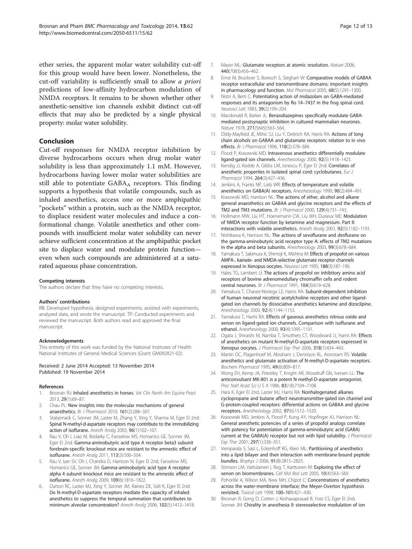<span id="page-11-0"></span>ether series, the apparent molar water solubility cut-off for this group would have been lower. Nonetheless, the cut-off variability is sufficiently small to allow a priori predictions of low-affinity hydrocarbon modulation of NMDA receptors. It remains to be shown whether other anesthetic-sensitive ion channels exhibit distinct cut-off effects that may also be predicted by a single physical property: molar water solubility.

#### Conclusion

Cut-off responses for NMDA receptor inhibition by diverse hydrocarbons occurs when drug molar water solubility is less than approximately 1.1 mM. However, hydrocarbons having lower molar water solubilities are still able to potentiate  $GABA_A$  receptors. This finding supports a hypothesis that volatile compounds, such as inhaled anesthetics, access one or more amphipathic "pockets" within a protein, such as the NMDA receptor, to displace resident water molecules and induce a conformational change. Volatile anesthetics and other compounds with insufficient molar water solubility can never achieve sufficient concentration at the amphipathic pocket site to displace water and modulate protein function even when such compounds are administered at a saturated aqueous phase concentration.

#### Competing interests

The authors declare that they have no competing interests.

#### Authors' contributions

RB: Developed hypothesis, designed experiments, assisted with experiments, analyzed data, and wrote the manuscript. TP: Conducted experiments and reviewed the manuscript. Both authors read and approved the final manuscript.

#### Acknowledgements

This entirety of this work was funded by the National Institutes of Health National Institutes of General Medical Sciences (Grant GM092821-02).

#### Received: 2 June 2014 Accepted: 13 November 2014 Published: 19 November 2014

#### References

- Brosnan RJ: Inhaled anesthetics in horses. Vet Clin North Am Equine Pract 2013, 29(1):69–87.
- Chau PL: New insights into the molecular mechanisms of general anaesthetics. Br J Pharmacol 2010, 161(2):288–307.
- 3. Stabernack C, Sonner JM, Laster M, Zhang Y, Xing Y, Sharma M, Eger EI 2nd: Spinal N-methyl-d-aspartate receptors may contribute to the immobilizing action of isoflurane. Anesth Analg 2003, 96(1):102–107.
- Rau V, Oh I, Liao M, Bodarky C, Fanselow MS, Homanics GE, Sonner JM, Eger EI 2nd: Gamma-aminobutyric acid type A receptor beta3 subunit forebrain-specific knockout mice are resistant to the amnestic effect of isoflurane. Anesth Analg 2011, 113(3):500–504.
- 5. Rau V, Iyer SV, Oh I, Chandra D, Harrison N, Eger EI 2nd, Fanselow MS, Homanics GE, Sonner JM: Gamma-aminobutyric acid type A receptor alpha 4 subunit knockout mice are resistant to the amnestic effect of isoflurane. Anesth Analg 2009, 109(6):1816–1822.
- Dutton RC, Laster MJ, Xing Y, Sonner JM, Raines DE, Solt K, Eger EI 2nd: Do N-methyl-D-aspartate receptors mediate the capacity of inhaled anesthetics to suppress the temporal summation that contributes to minimum alveolar concentration? Anesth Analg 2006, 102(5):1412–1418.
- 7. Mayer ML: Glutamate receptors at atomic resolution. Nature 2006, 440(7083):456–462.
- 8. Ernst M, Bruckner S, Boresch S, Sieghart W: Comparative models of GABAA receptor extracellular and transmembrane domains: important insights in pharmacology and function. Mol Pharmacol 2005, 68(5):1291–1300.
- 9. Nistri A, Berti C: Potentiating action of midazolam on GABA-mediated responses and its antagonism by Ro 14–7437 in the frog spinal cord. Neurosci Lett 1983, 39(2):199–204.
- 10. Macdonald R, Barker JL: Benzodiazepines specifically modulate GABAmediated postsynaptic inhibition in cultured mammalian neurones. Nature 1978, 271(5645):563-564.
- 11. Dildy-Mayfield JE, Mihic SJ, Liu Y, Deitrich RA, Harris RA: Actions of long chain alcohols on GABAA and glutamate receptors: relation to in vivo effects. Br J Pharmacol 1996, 118(2):378–384.
- 12. Flood P, Krasowski MD: Intravenous anesthetics differentially modulate ligand-gated ion channels. Anesthesiology 2000, 92(5):1418–1425.
- 13. Kendig JJ, Kodde A, Gibbs LM, Ionescu P, Eger EI 2nd: Correlates of anesthetic properties in isolated spinal cord: cyclobutanes. Eur J Pharmacol 1994, 264(3):427–436.
- 14. Jenkins A, Franks NP, Lieb WR: Effects of temperature and volatile anesthetics on GABA(A) receptors. Anesthesiology 1999, 90(2):484–491.
- 15. Krasowski MD, Harrison NL: The actions of ether, alcohol and alkane general anaesthetics on GABAA and glycine receptors and the effects of TM2 and TM3 mutations. Br J Pharmacol 2000, 129(4):731–743.
- 16. Hollmann MW, Liu HT, Hoenemann CW, Liu WH, Durieux ME: Modulation of NMDA receptor function by ketamine and magnesium. Part II: interactions with volatile anesthetics. Anesth Analg 2001, 92(5):1182–1191.
- 17. Nishikawa K, Harrison NL: The actions of sevoflurane and desflurane on the gamma-aminobutyric acid receptor type A: effects of TM2 mutations in the alpha and beta subunits. Anesthesiology 2003, 99(3):678-684.
- 18. Yamakura T, Sakimura K, Shimoji K, Mishina M: Effects of propofol on various AMPA-, kainate- and NMDA-selective glutamate receptor channels expressed in Xenopus oocytes. Neurosci Lett 1995, 188(3):187–190.
- 19. Hales TG, Lambert JJ: The actions of propofol on inhibitory amino acid receptors of bovine adrenomedullary chromaffin cells and rodent central neurones. Br J Pharmacol 1991, 104(3):619–628.
- 20. Yamakura T, Chavez-Noriega LE, Harris RA: Subunit-dependent inhibition of human neuronal nicotinic acetylcholine receptors and other ligandgated ion channels by dissociative anesthetics ketamine and dizocilpine. Anesthesiology 2000, 92(4):1144–1153.
- 21. Yamakura T, Harris RA: Effects of gaseous anesthetics nitrous oxide and xenon on ligand-gated ion channels. Comparison with isoflurane and ethanol. Anesthesiology 2000, 93(4):1095–1101.
- 22. Ogata J, Shiraishi M, Namba T, Smothers CT, Woodward JJ, Harris RA: Effects of anesthetics on mutant N-methyl-D-aspartate receptors expressed in Xenopus oocytes. J Pharmacol Exp Ther 2006, 318(1):434–443.
- 23. Martin DC, Plagenhoef M, Abraham J, Dennison RL, Aronstam RS: Volatile anesthetics and glutamate activation of N-methyl-D-aspartate receptors. Biochem Pharmacol 1995, 49(6):809–817.
- 24. Wong EH, Kemp JA, Priestley T, Knight AR, Woodruff GN, Iversen LL: The anticonvulsant MK-801 is a potent N-methyl-D-aspartate antagonist. Proc Natl Acad Sci U S A 1986, 83(18):7104–7108.
- 25. Hara K, Eger EI 2nd, Laster MJ, Harris RA: Nonhalogenated alkanes cyclopropane and butane affect neurotransmitter-gated ion channel and G-protein-coupled receptors: differential actions on GABAA and glycine receptors. Anesthesiology 2002, 97(6):1512–1520.
- 26. Krasowski MD, Jenkins A, Flood P, Kung AY, Hopfinger AJ, Harrison NL: General anesthetic potencies of a series of propofol analogs correlate with potency for potentiation of gamma-aminobutyric acid (GABA) current at the GABA(A) receptor but not with lipid solubility. J Pharmacol Exp Ther 2001, 297(1):338–351.
- 27. Vemparala S, Saiz L, Eckenhoff RG, Klein ML: Partitioning of anesthetics into a lipid bilayer and their interaction with membrane-bound peptide bundles. Biophys J 2006, 91(8):2815–2825.
- 28. Stimson LM, Vattulainen I, Rog T, Karttunen M: Exploring the effect of xenon on biomembranes. Cell Mol Biol Lett 2005, 10(4):563–569.
- 29. Pohorille A, Wilson MA, New MH, Chipot C: Concentrations of anesthetics across the water-membrane interface; the Meyer-Overton hypothesis revisited. Toxicol Lett 1998, 100–101:421–430.
- 30. Brosnan R, Gong D, Cotten J, Keshavaprasad B, Yost CS, Eger EI 2nd, Sonner JM: Chirality in anesthesia II: stereoselective modulation of ion